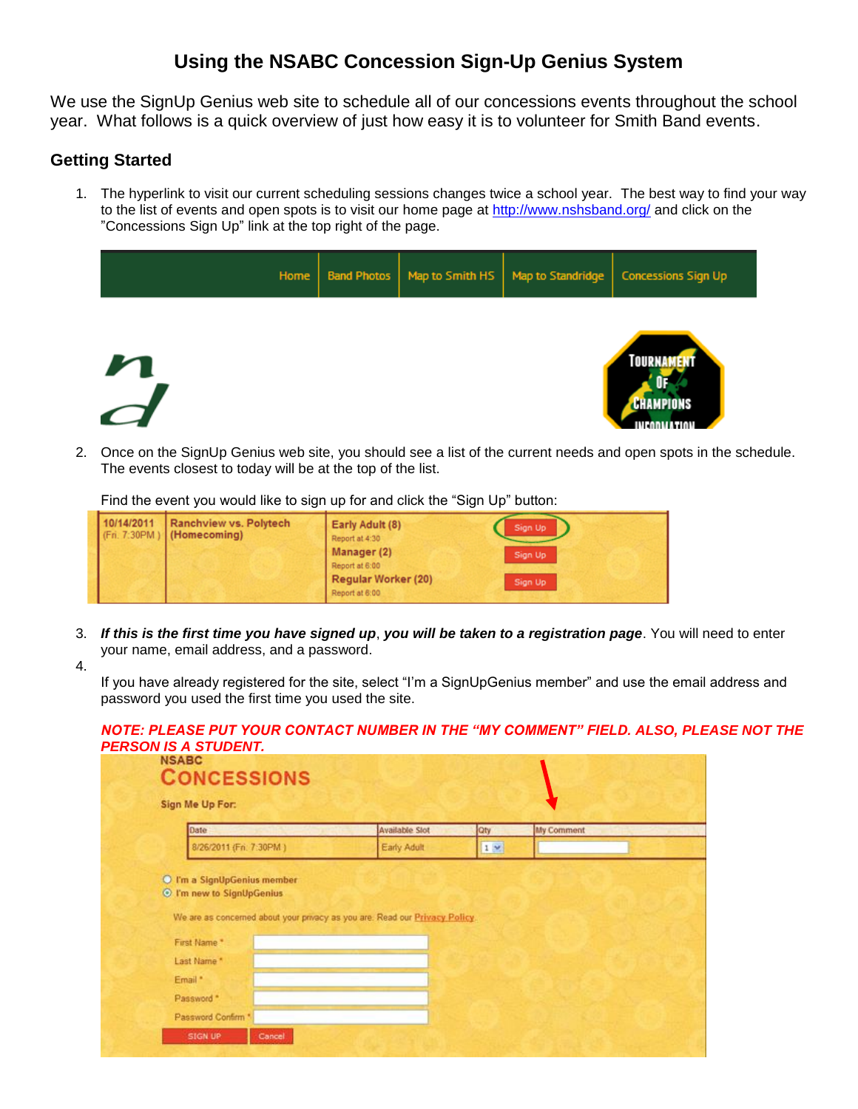# **Using the NSABC Concession Sign-Up Genius System**

We use the SignUp Genius web site to schedule all of our concessions events throughout the school year. What follows is a quick overview of just how easy it is to volunteer for Smith Band events.

## **Getting Started**

1. The hyperlink to visit our current scheduling sessions changes twice a school year. The best way to find your way to the list of events and open spots is to visit our home page at<http://www.nshsband.org/> and click on the "Concessions Sign Up" link at the top right of the page.

|              | Home |  | Band Photos   Map to Smith HS   Map to Standridge | <b>Concessions Sign Up</b>                       |
|--------------|------|--|---------------------------------------------------|--------------------------------------------------|
| $\mathbf{M}$ |      |  |                                                   | <b>TOURNAMENT</b><br><b>CHAMPIONS</b><br>INFAN U |

2. Once on the SignUp Genius web site, you should see a list of the current needs and open spots in the schedule. The events closest to today will be at the top of the list.

Find the event you would like to sign up for and click the "Sign Up" button:

| 10/14/2011 | Ranchview vs. Polytech<br>$ $ (Fri. 7:30PM) (Homecoming) | Early Adult (8)<br>Report at 4:30<br>Manager (2)<br>Report at 6:00<br>Regular Worker (20) | Sign Up<br>Sign Up<br>Sign Up |
|------------|----------------------------------------------------------|-------------------------------------------------------------------------------------------|-------------------------------|
|            |                                                          | Report at 6:00                                                                            |                               |

- 3. *If this is the first time you have signed up*, *you will be taken to a registration page*. You will need to enter your name, email address, and a password.
- 4.

If you have already registered for the site, select "I'm a SignUpGenius member" and use the email address and password you used the first time you used the site.

| <b>NSABC</b><br><b>CONCESSIONS</b>                       |                                                                             |            |            |
|----------------------------------------------------------|-----------------------------------------------------------------------------|------------|------------|
| Sign Me Up For:                                          |                                                                             |            |            |
| Date                                                     | Available Slot                                                              | <b>Oty</b> | My Comment |
| 8/26/2011 (Fri. 7:30PM)                                  | Early Adult                                                                 | $1 - 1$    |            |
| O I'm a SignUpGenius member<br>© I'm new to SignUpGenius | We are as concerned about your privacy as you are. Read our Privacy Policy. |            |            |
| First Name.*                                             |                                                                             |            |            |
| Last Name*<br>Email *                                    |                                                                             |            |            |
| Password *                                               |                                                                             |            |            |
| Password Confirm *                                       |                                                                             |            |            |

#### *NOTE: PLEASE PUT YOUR CONTACT NUMBER IN THE "MY COMMENT" FIELD. ALSO, PLEASE NOT THE PERSON IS A STUDENT.*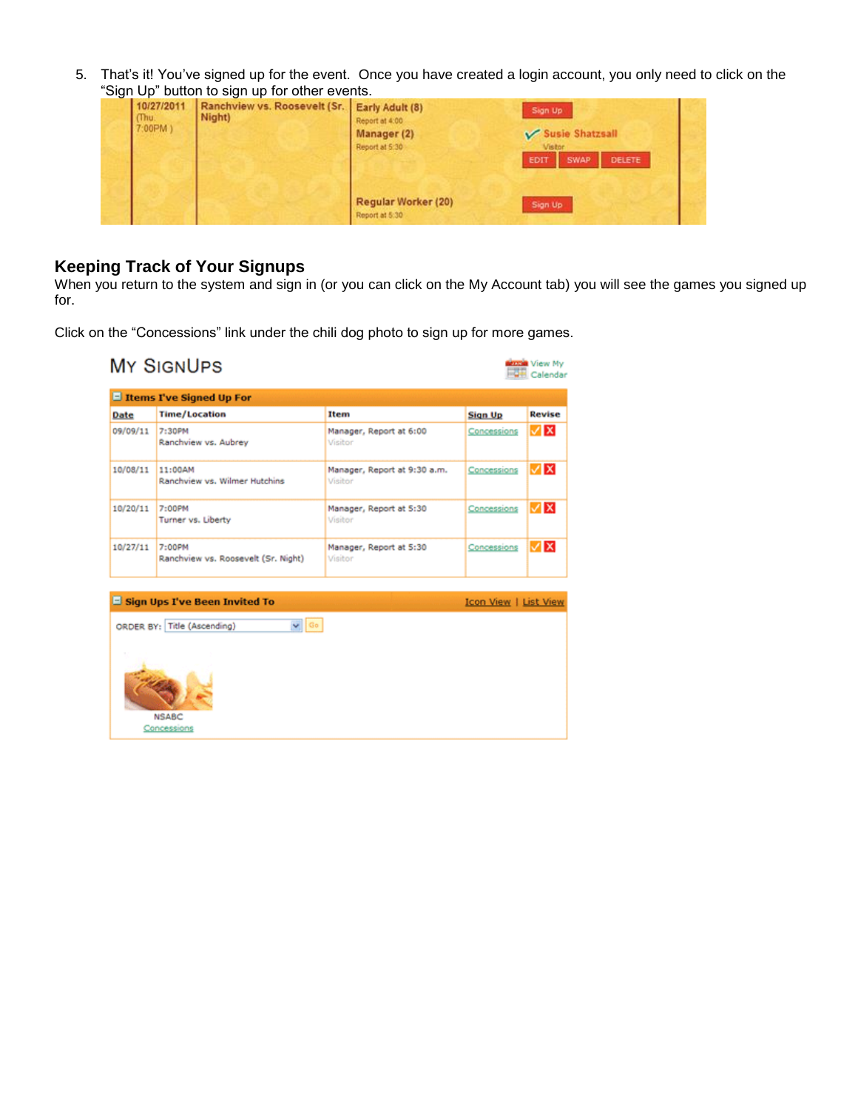5. That's it! You've signed up for the event. Once you have created a login account, you only need to click on the "Sign Up" button to sign up for other events.

| 10/27/2011<br>(Thu<br>7:00PM) | and the second control of the second control of the second second second second second second second second second second second second second second second second second second second second second second second second se<br>Ranchview vs. Roosevelt (Sr. Early Adult (8)<br>Night) | Report at 4:00<br>Manager (2)<br>Report at 5:30 | Sign Up<br>Susie Shatzsall<br>Vistor<br>DELETE<br><b>EDIT</b><br><b>SWAP</b> |
|-------------------------------|------------------------------------------------------------------------------------------------------------------------------------------------------------------------------------------------------------------------------------------------------------------------------------------|-------------------------------------------------|------------------------------------------------------------------------------|
|                               |                                                                                                                                                                                                                                                                                          | Regular Worker (20)<br>Report at 5:30           | Sign Up                                                                      |

## **Keeping Track of Your Signups**

When you return to the system and sign in (or you can click on the My Account tab) you will see the games you signed up for.

Click on the "Concessions" link under the chili dog photo to sign up for more games.

|          | <b>El Items I've Signed Up For</b>            |                                         |                              |               |
|----------|-----------------------------------------------|-----------------------------------------|------------------------------|---------------|
| Date     | <b>Time/Location</b>                          | Item                                    | <b>Sign Up</b>               | <b>Revise</b> |
| 09/09/11 | 7:30PM<br>Ranchview vs. Aubrey                | Manager, Report at 6:00<br>Visitor      | Concessions                  | VX            |
| 10/08/11 | 11:00AM<br>Ranchview vs. Wilmer Hutchins      | Manager, Report at 9:30 a.m.<br>Visitor | Concessions                  | V∣x           |
| 10/20/11 | 7:00PM<br>Turner vs. Liberty                  | Manager, Report at 5:30<br>Visitor      | Concessions                  | l∡lxi         |
| 10/27/11 | 7:00PM<br>Ranchview vs. Roosevelt (Sr. Night) | Manager, Report at 5:30<br>Visitor      | Concessions                  | l√lxl         |
|          | Sign Ups I've Been Invited To                 |                                         | <b>Icon View   List View</b> |               |
|          | $\vee$ Go<br>ORDER BY: Title (Ascending)      |                                         |                              |               |
|          |                                               |                                         |                              |               |
|          |                                               |                                         |                              |               |
|          |                                               |                                         |                              |               |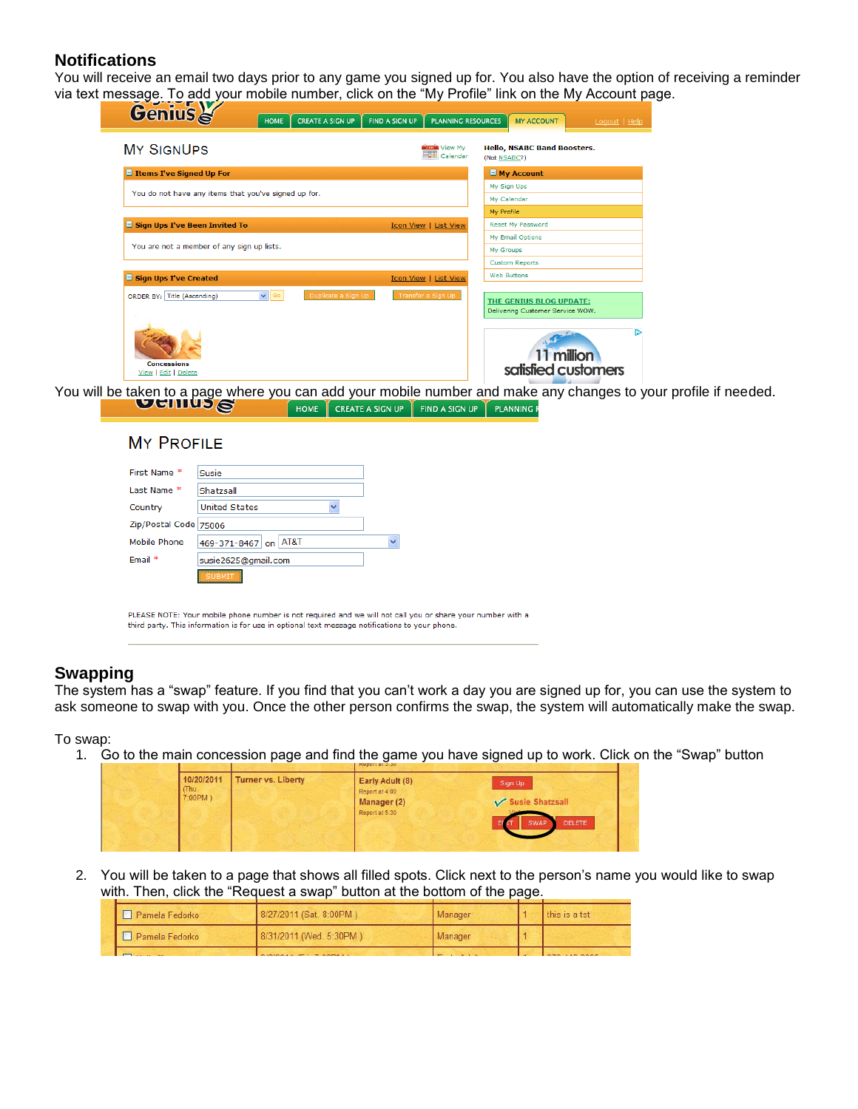### **Notifications**

You will receive an email two days prior to any game you signed up for. You also have the option of receiving a reminder via text message. To add your mobile number, click on the "My Profile" link on the My Account page.

| <b>Genius</b><br><b>CREATE A SIGN UP</b><br><b>HOME</b> | <b>PLANNING RESOURCES</b><br><b>FIND A SIGN UP</b><br><b>MY ACCOUNT</b><br>Logout   Help                 |
|---------------------------------------------------------|----------------------------------------------------------------------------------------------------------|
| <b>MY SIGNUPS</b>                                       | <b>NAME View My</b><br><b>Hello, NSABC Band Boosters.</b><br>Calendar<br>(Not NSABC?)                    |
| E Items I've Signed Up For                              | $\Box$ My Account                                                                                        |
| You do not have any items that you've signed up for.    | My Sign Ups                                                                                              |
|                                                         | My Calendar                                                                                              |
|                                                         | My Profile                                                                                               |
| $\Box$ Sign Ups I've Been Invited To                    | <b>Reset My Password</b><br>Icon View   List View                                                        |
|                                                         | <b>My Email Options</b>                                                                                  |
| You are not a member of any sign up lists.              | My Groups                                                                                                |
|                                                         | <b>Custom Reports</b>                                                                                    |
| Sign Ups I've Created                                   | <b>Web Buttons</b><br>Icon View   List View                                                              |
| $\vee$ Go<br>ORDER BY: Title (Ascending)                | Duplicate a Sign Up<br>Transfer a Sign Up<br>THE GENIUS BLOG UPDATE:<br>Delivering Customer Service WOW. |
| <b>Concessions</b><br>View   Edit   Delete              | 11 million<br>satisfied customers                                                                        |

You will be taken to a page where you can add your mobile number and make any changes to your profile if needed.<br>
FILITED STATE A SIGN UP FIND A SIGN UP TRANNING R

| Last Name *           | Shatzsall            |   |             |  |
|-----------------------|----------------------|---|-------------|--|
| Country               | <b>United States</b> | v |             |  |
| Zip/Postal Code 75006 |                      |   |             |  |
| Mobile Phone          | 469-371-8467 on AT&T |   | $\ddotmark$ |  |
| Email *               | susie2625@gmail.com  |   |             |  |

PLEASE NOTE: Your mobile phone number is not required and we will not call you or share your number with a third party. This information is for use in optional text message notifications to your phone.

#### **Swapping**

The system has a "swap" feature. If you find that you can't work a day you are signed up for, you can use the system to ask someone to swap with you. Once the other person confirms the swap, the system will automatically make the swap.

To swap:

1. Go to the main concession page and find the game you have signed up to work. Click on the "Swap" button

| 10/20/2011<br>Thu. | <b>Turner vs. Liberty</b> | Early Adult (8)<br>Report at 4:00 | Sign Up               |
|--------------------|---------------------------|-----------------------------------|-----------------------|
| 7:00PM)            |                           | Manager (2)<br>Report at 5:30     | Susie Shatzsall       |
|                    |                           |                                   | <b>DELETE</b><br>SWAP |
|                    |                           |                                   |                       |

2. You will be taken to a page that shows all filled spots. Click next to the person's name you would like to swap with. Then, click the "Request a swap" button at the bottom of the page.

| Pamela Fedorko                                | 8/27/2011 (Sat. 8:00PM) | Manager                                  | this is a tst       |
|-----------------------------------------------|-------------------------|------------------------------------------|---------------------|
| Pamela Fedorko                                | 8/31/2011 (Wed. 5:30PM) | Manager                                  |                     |
| <b>Program and Contract Contract Contract</b> |                         | the company's property and the company's | <b>AMA 110 BARB</b> |